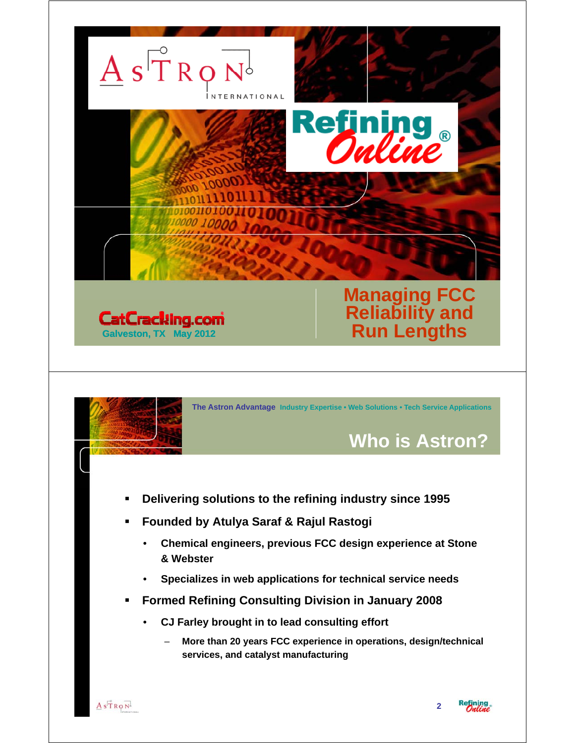

– **More than 20 years FCC experience in operations, design/technical services, and catalyst manufacturing**

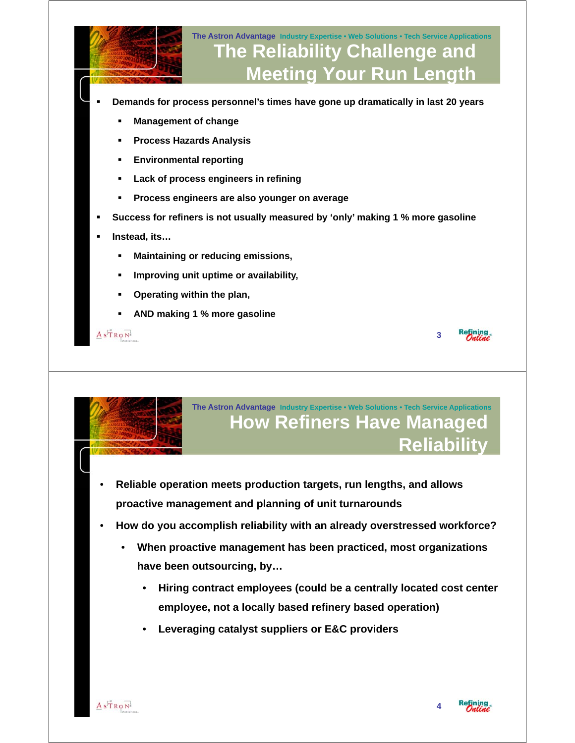



**The Astron Advantage Industry Expertise • Web Solutions • Tech Service Applications How Refiners Have Managed Reliability**

- **Reliable operation meets production targets, run lengths, and allows proactive management and planning of unit turnarounds**
- **How do you accomplish reliability with an already overstressed workforce?**
	- **When proactive management has been practiced, most organizations have been outsourcing, by…**
		- **Hiring contract employees (could be a centrally located cost center employee, not a locally based refinery based operation)**
		- **Leveraging catalyst suppliers or E&C providers**

**4**

**3**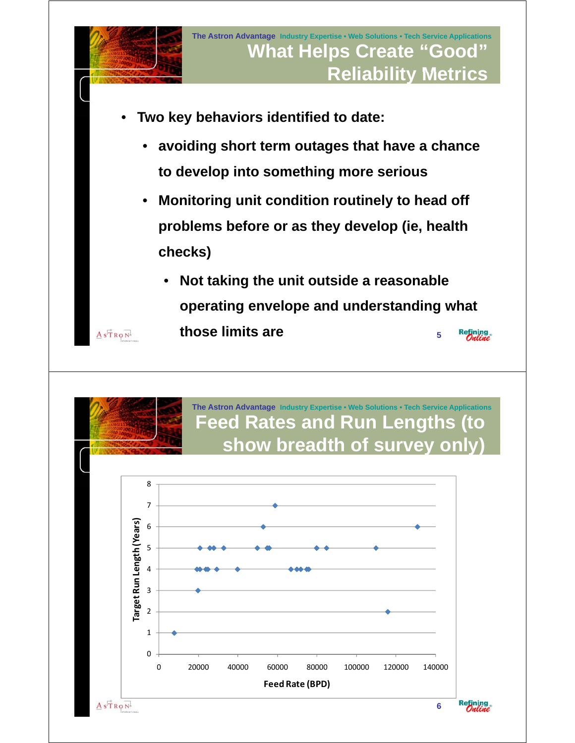

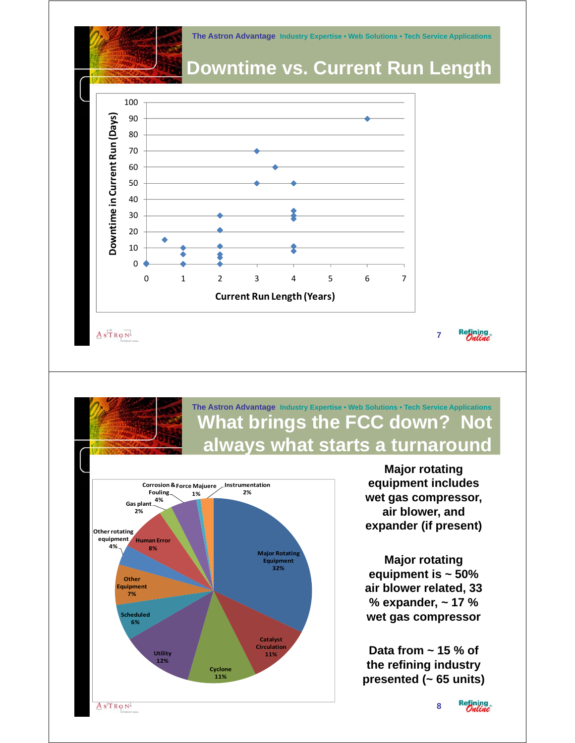**The Astron Advantage Industry Expertise • Web Solutions • Tech Service Applications**

## **Downtime vs. Current Run Length**



 $A s \overrightarrow{T} R Q N$ 

### **The Astron Advantage Industry Expertise • Web Solutions • Tech Service Applications What brings the FCC down? Not always what starts a turnaround always what starts a**



 **Major rotating**  equipment includes **wet gas compressor, air blower, and expander (if present)**

**7**

Refining.

 **Major rotating equipment is ~ 50% q p air blower related, 33 % expander, ~ 17 % wet gas compressor**

 **Data from ~ 15 % of the refining industry g ypresented (~ 65 units)**

**8**

Refining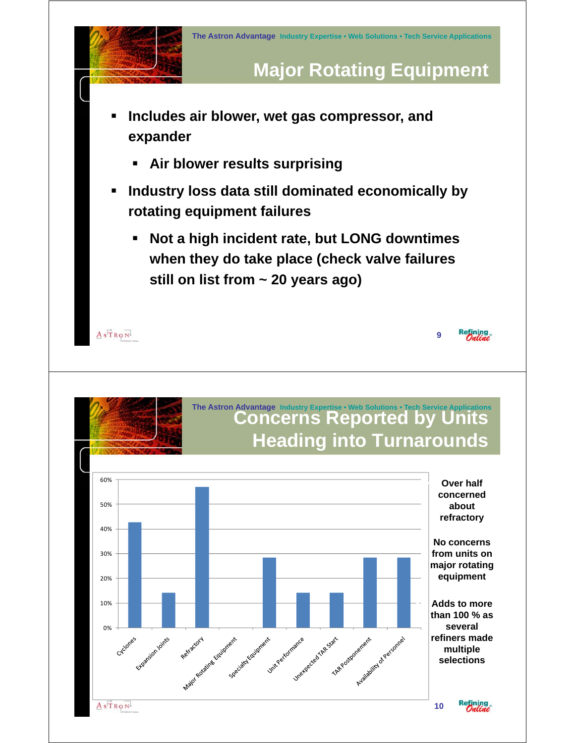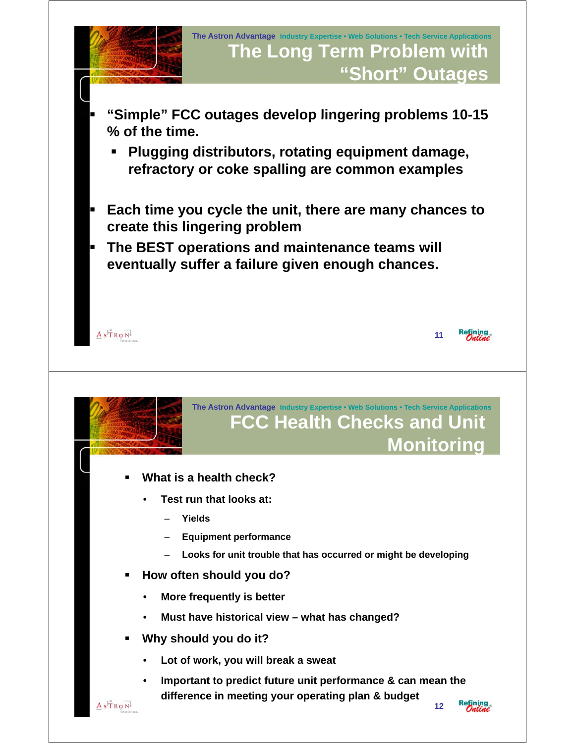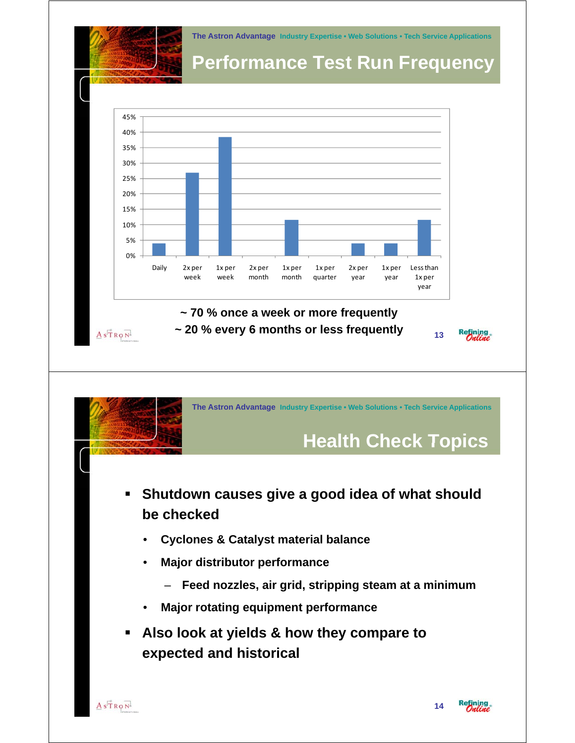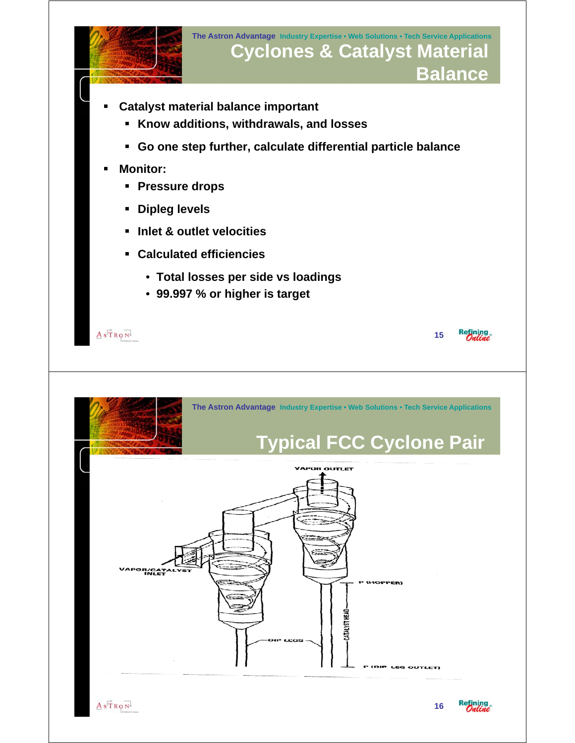



(DIP LEG OUTLET)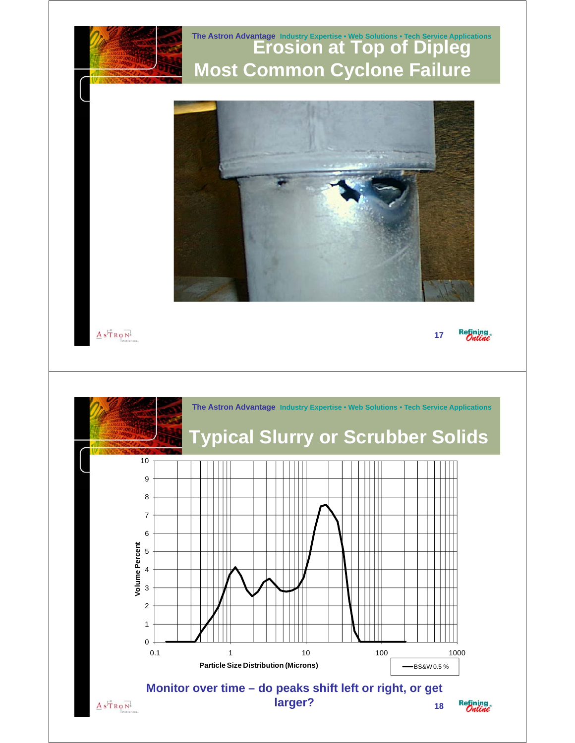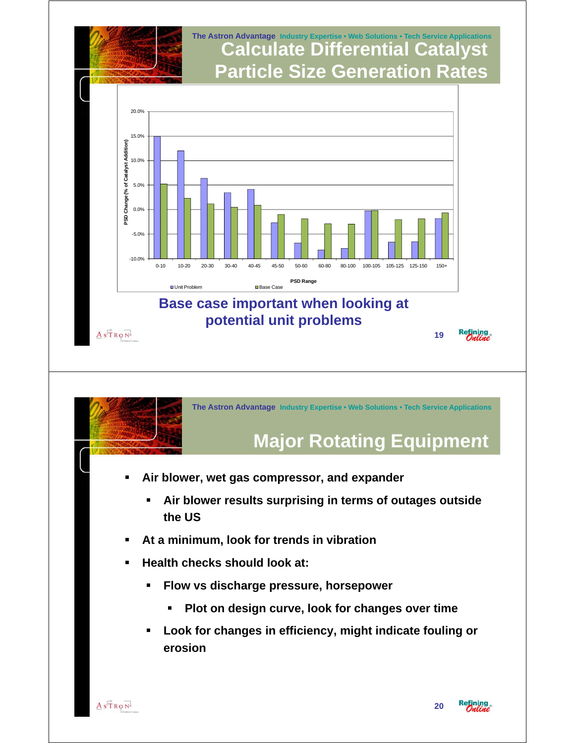

# **Major Rotating Equipment Major Rotating Equipment**

- **Air blower, wet gas compressor, and expander**
	- **Air blower results surprising in terms of outages outside the US**
- **At a minimum, look for trends in vibration**
- **Health checks should look at:**
	- **Flow vs discharge pressure, horsepower**
		- **Plot on design curve, look for changes over time**
	- **Look for changes in efficiency, might indicate fouling or erosion**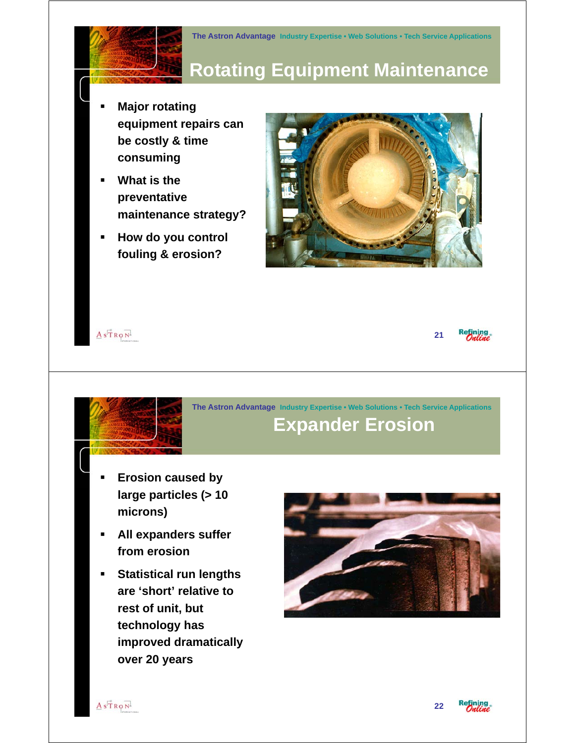

# **Rotating Equipment Maintenance**

- **Major rotating equipment repairs can be costly & time consuming**
- **What is the preventative maintenance strategy?**
- **How do you control fouling & erosion? fouling &**

 $A$ s $\overset{\circ}{T}R\phi\overset{\circ}{N}$ 





**The Astron Advantage Industry Expertise • Web Solutions • Tech Service Applications Expander Erosion**

- **Erosion caused by large particles (> 10 microns)**
- **All expanders suffer All expanders from erosion**
- **Statistical run lengths are 'short' relative to rest of unit, but technology has technology improved dramatically over 20 years**





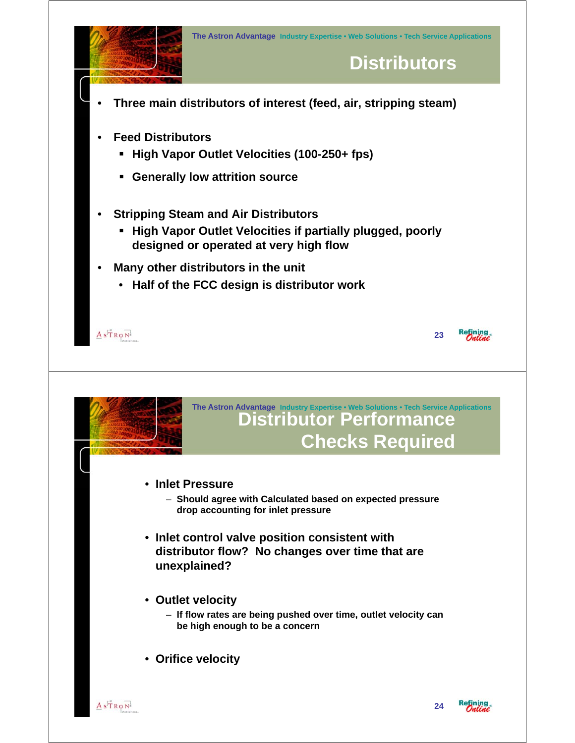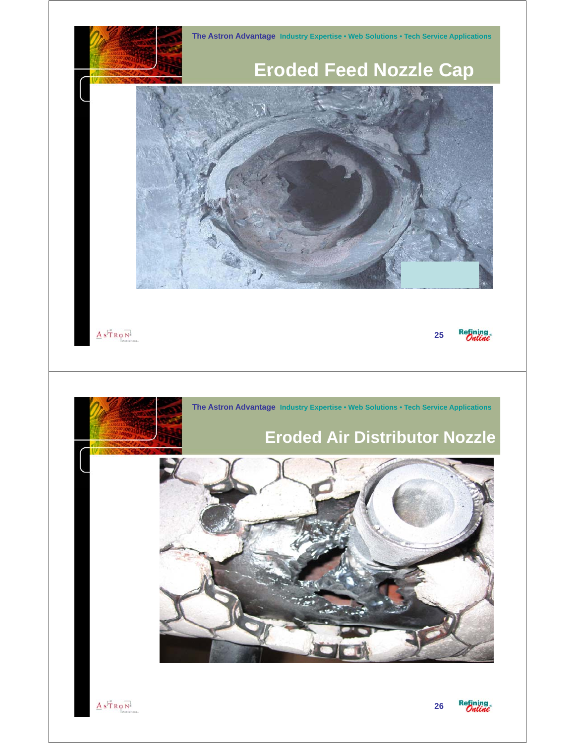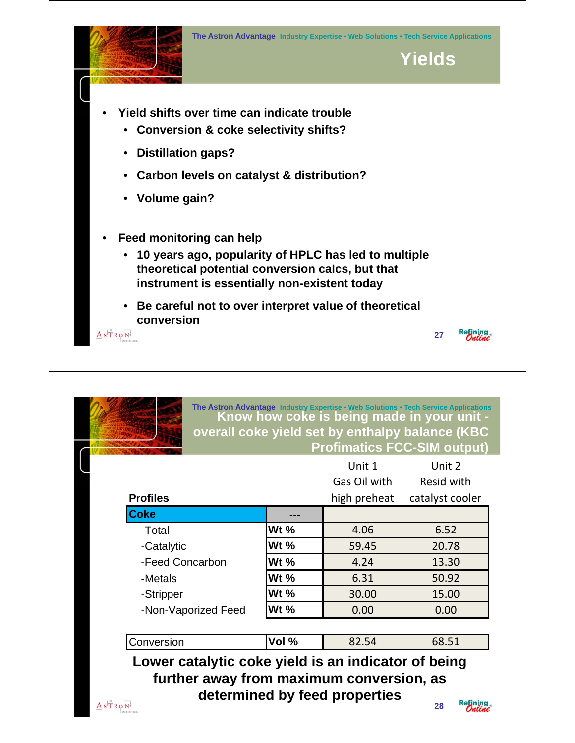

#### **The Astron Advantage Industry Expertise • Web Solutions • Tech Service Applications Know how coke is being made in your unit overall coke yield set by enthalpy balance (KBC Profimatics FCC-SIM output**

|                     |             | Unit 1       | Unit 2          |
|---------------------|-------------|--------------|-----------------|
|                     |             | Gas Oil with | Resid with      |
| <b>Profiles</b>     |             | high preheat | catalyst cooler |
| <b>Coke</b>         |             |              |                 |
| -Total              | <b>Wt %</b> | 4.06         | 6.52            |
| -Catalytic          | Wt $%$      | 59.45        | 20.78           |
| -Feed Concarbon     | <b>Wt %</b> | 4.24         | 13.30           |
| -Metals             | <b>Wt %</b> | 6.31         | 50.92           |
| -Stripper           | <b>Wt %</b> | 30.00        | 15.00           |
| -Non-Vaporized Feed | Wt %        | 0.00         | 0.00            |
|                     |             |              |                 |
| Conversion          | Vol %       | 82.54        | 68.51           |

**determined by feed properties**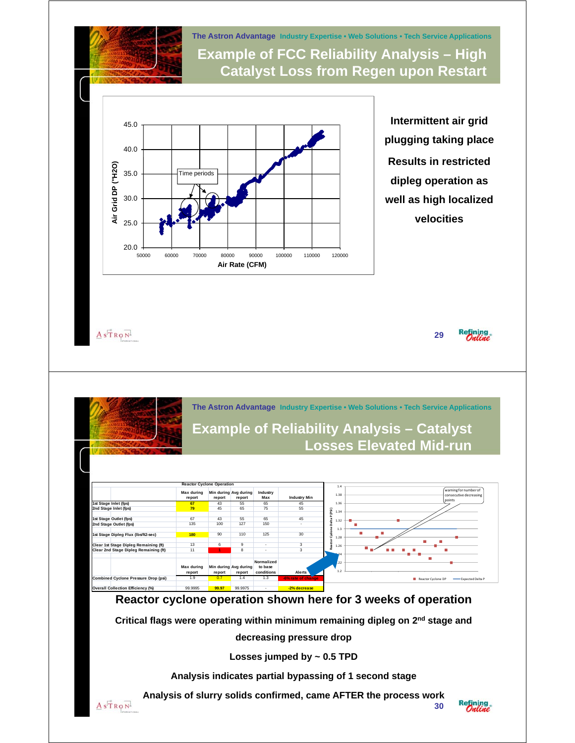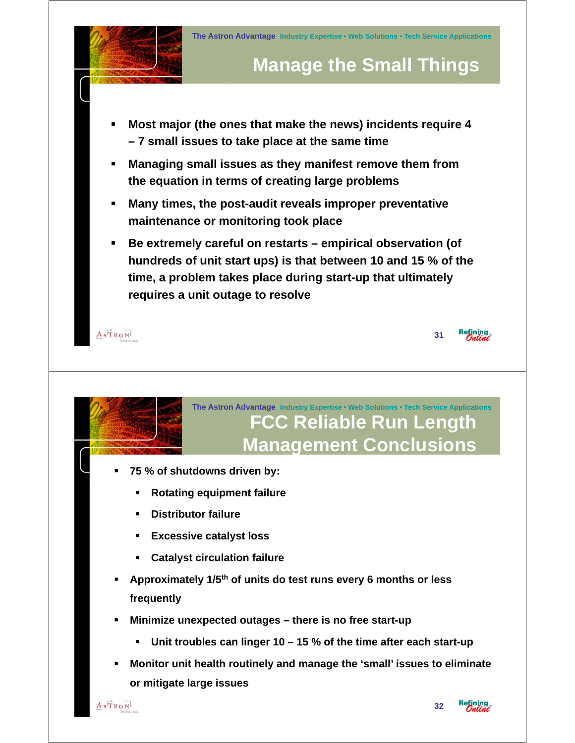

### **The Astron Advantage Industry Expertise • Web Solutions • Tech Service Applications FCC Reliable Run Length Management Conclusions**

- **75 % of shutdowns driven by:**
	- **Rotating equipment failure**
	- **Distributor failure**
	- **Excessive catalyst loss**
	- **Catalyst circulation failure**
- **Approximately 1/5 Approximately 1/5th of units do test runs every 6 months or less thof units do test runs every 6 months or frequently**
- **Minimize unexpected outages there is no free start-up** 
	- **Unit troubles can linger 10 15 % of the time after each start-up**
- **Monitor unit health routinely and manage the 'small' issues to eliminate or mitigate large issues**